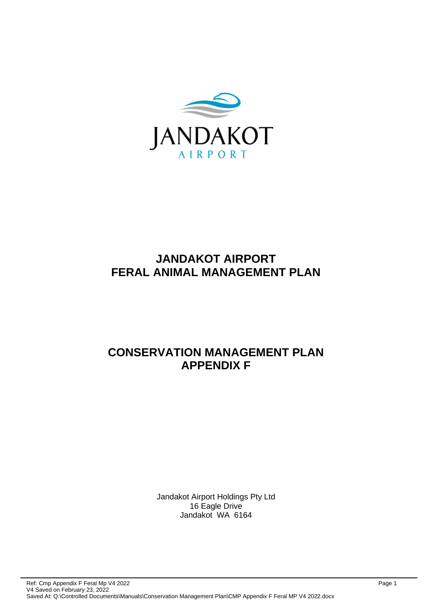

# **JANDAKOT AIRPORT FERAL ANIMAL MANAGEMENT PLAN**

# **CONSERVATION MANAGEMENT PLAN APPENDIX F**

Jandakot Airport Holdings Pty Ltd 16 Eagle Drive Jandakot WA 6164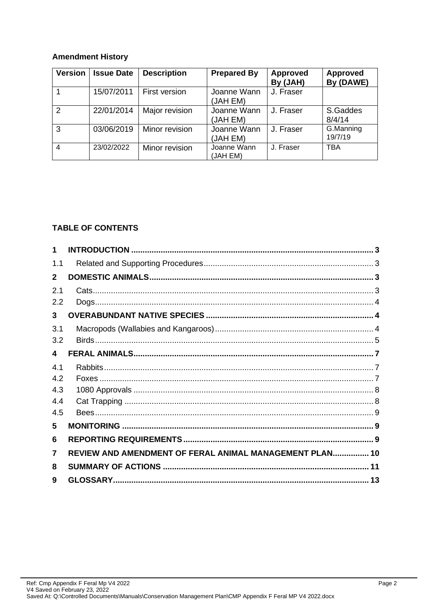## **Amendment History**

| <b>Version</b> | <b>Issue Date</b> | <b>Description</b> | <b>Prepared By</b>      | <b>Approved</b><br>By (JAH) | Approved<br>By (DAWE) |
|----------------|-------------------|--------------------|-------------------------|-----------------------------|-----------------------|
|                | 15/07/2011        | First version      | Joanne Wann<br>(JAH EM) | J. Fraser                   |                       |
| $\mathcal{P}$  | 22/01/2014        | Major revision     | Joanne Wann<br>(JAH EM) | J. Fraser                   | S.Gaddes<br>8/4/14    |
| 3              | 03/06/2019        | Minor revision     | Joanne Wann<br>(JAH EM) | J. Fraser                   | G.Manning<br>19/7/19  |
| 4              | 23/02/2022        | Minor revision     | Joanne Wann<br>(JAH EM) | J. Fraser                   | <b>TBA</b>            |

## **TABLE OF CONTENTS**

| 1            |                                                         |  |
|--------------|---------------------------------------------------------|--|
| 1.1          |                                                         |  |
| $\mathbf{2}$ |                                                         |  |
| 2.1          |                                                         |  |
| 2.2          |                                                         |  |
| 3            |                                                         |  |
| 3.1          |                                                         |  |
| 3.2          |                                                         |  |
| 4            |                                                         |  |
| 4.1          |                                                         |  |
| 4.2          |                                                         |  |
| 4.3          |                                                         |  |
| 4.4          |                                                         |  |
| 4.5          |                                                         |  |
| 5            |                                                         |  |
| 6            |                                                         |  |
| 7            | REVIEW AND AMENDMENT OF FERAL ANIMAL MANAGEMENT PLAN 10 |  |
| 8            |                                                         |  |
| 9            |                                                         |  |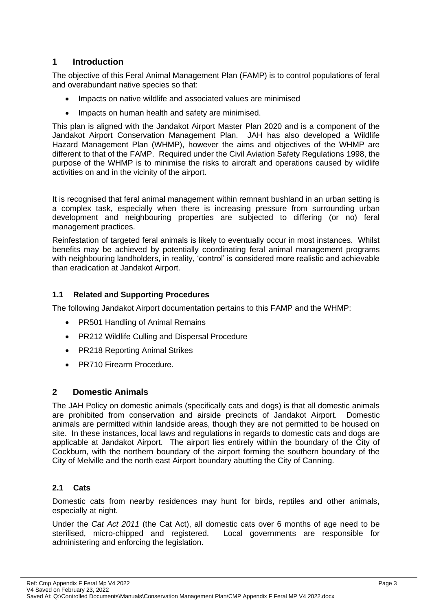## <span id="page-2-0"></span>**1 Introduction**

The objective of this Feral Animal Management Plan (FAMP) is to control populations of feral and overabundant native species so that:

- Impacts on native wildlife and associated values are minimised
- Impacts on human health and safety are minimised.

This plan is aligned with the Jandakot Airport Master Plan 2020 and is a component of the Jandakot Airport Conservation Management Plan. JAH has also developed a Wildlife Hazard Management Plan (WHMP), however the aims and objectives of the WHMP are different to that of the FAMP. Required under the Civil Aviation Safety Regulations 1998, the purpose of the WHMP is to minimise the risks to aircraft and operations caused by wildlife activities on and in the vicinity of the airport.

It is recognised that feral animal management within remnant bushland in an urban setting is a complex task, especially when there is increasing pressure from surrounding urban development and neighbouring properties are subjected to differing (or no) feral management practices.

Reinfestation of targeted feral animals is likely to eventually occur in most instances. Whilst benefits may be achieved by potentially coordinating feral animal management programs with neighbouring landholders, in reality, 'control' is considered more realistic and achievable than eradication at Jandakot Airport.

## <span id="page-2-1"></span>**1.1 Related and Supporting Procedures**

The following Jandakot Airport documentation pertains to this FAMP and the WHMP:

- PR501 Handling of Animal Remains
- PR212 Wildlife Culling and Dispersal Procedure
- PR218 Reporting Animal Strikes
- PR710 Firearm Procedure.

## <span id="page-2-2"></span>**2 Domestic Animals**

The JAH Policy on domestic animals (specifically cats and dogs) is that all domestic animals are prohibited from conservation and airside precincts of Jandakot Airport. Domestic animals are permitted within landside areas, though they are not permitted to be housed on site. In these instances, local laws and regulations in regards to domestic cats and dogs are applicable at Jandakot Airport. The airport lies entirely within the boundary of the City of Cockburn, with the northern boundary of the airport forming the southern boundary of the City of Melville and the north east Airport boundary abutting the City of Canning.

#### <span id="page-2-3"></span>**2.1 Cats**

Domestic cats from nearby residences may hunt for birds, reptiles and other animals, especially at night.

Under the *Cat Act 2011* (the Cat Act), all domestic cats over 6 months of age need to be sterilised, micro-chipped and registered. Local governments are responsible for administering and enforcing the legislation.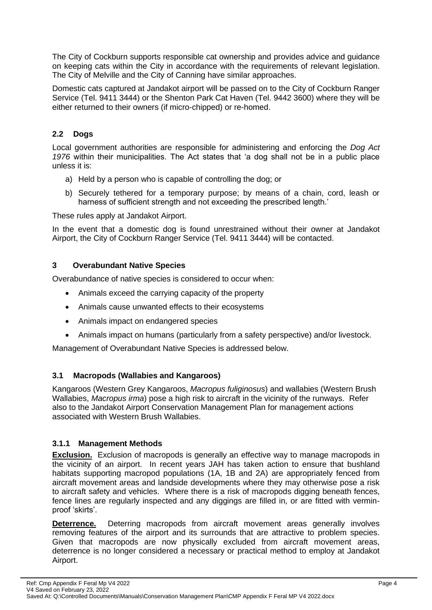The City of Cockburn supports responsible cat ownership and provides advice and guidance on keeping cats within the City in accordance with the requirements of relevant legislation. The City of Melville and the City of Canning have similar approaches.

Domestic cats captured at Jandakot airport will be passed on to the City of Cockburn Ranger Service (Tel. 9411 3444) or the Shenton Park Cat Haven (Tel. 9442 3600) where they will be either returned to their owners (if micro-chipped) or re-homed.

## <span id="page-3-0"></span>**2.2 Dogs**

Local government authorities are responsible for administering and enforcing the *Dog Act 1976* within their municipalities. The Act states that 'a dog shall not be in a public place unless it is:

- a) Held by a person who is capable of controlling the dog; or
- b) Securely tethered for a temporary purpose; by means of a chain, cord, leash or harness of sufficient strength and not exceeding the prescribed length.'

These rules apply at Jandakot Airport.

In the event that a domestic dog is found unrestrained without their owner at Jandakot Airport, the City of Cockburn Ranger Service (Tel. 9411 3444) will be contacted.

## <span id="page-3-1"></span>**3 Overabundant Native Species**

Overabundance of native species is considered to occur when:

- Animals exceed the carrying capacity of the property
- Animals cause unwanted effects to their ecosystems
- Animals impact on endangered species
- Animals impact on humans (particularly from a safety perspective) and/or livestock.

Management of Overabundant Native Species is addressed below.

## <span id="page-3-2"></span>**3.1 Macropods (Wallabies and Kangaroos)**

Kangaroos (Western Grey Kangaroos, *Macropus fuliginosus*) and wallabies (Western Brush Wallabies, *Macropus irma*) pose a high risk to aircraft in the vicinity of the runways. Refer also to the Jandakot Airport Conservation Management Plan for management actions associated with Western Brush Wallabies.

## **3.1.1 Management Methods**

**Exclusion.** Exclusion of macropods is generally an effective way to manage macropods in the vicinity of an airport. In recent years JAH has taken action to ensure that bushland habitats supporting macropod populations (1A, 1B and 2A) are appropriately fenced from aircraft movement areas and landside developments where they may otherwise pose a risk to aircraft safety and vehicles. Where there is a risk of macropods digging beneath fences, fence lines are regularly inspected and any diggings are filled in, or are fitted with verminproof 'skirts'.

**Deterrence.** Deterring macropods from aircraft movement areas generally involves removing features of the airport and its surrounds that are attractive to problem species. Given that macropods are now physically excluded from aircraft movement areas, deterrence is no longer considered a necessary or practical method to employ at Jandakot Airport.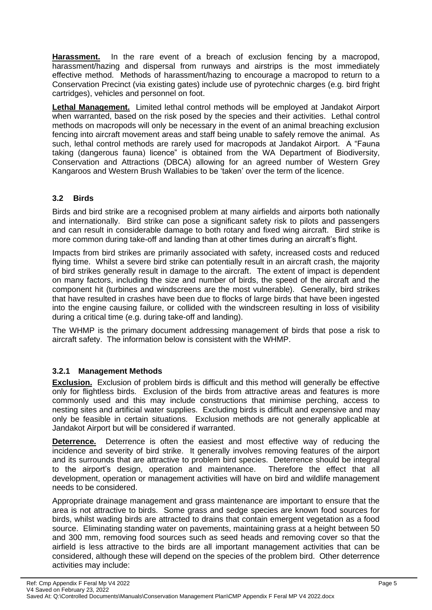**Harassment.** In the rare event of a breach of exclusion fencing by a macropod, harassment/hazing and dispersal from runways and airstrips is the most immediately effective method. Methods of harassment/hazing to encourage a macropod to return to a Conservation Precinct (via existing gates) include use of pyrotechnic charges (e.g. bird fright cartridges), vehicles and personnel on foot.

**Lethal Management.** Limited lethal control methods will be employed at Jandakot Airport when warranted, based on the risk posed by the species and their activities. Lethal control methods on macropods will only be necessary in the event of an animal breaching exclusion fencing into aircraft movement areas and staff being unable to safely remove the animal. As such, lethal control methods are rarely used for macropods at Jandakot Airport. A "Fauna taking (dangerous fauna) licence" is obtained from the WA Department of Biodiversity, Conservation and Attractions (DBCA) allowing for an agreed number of Western Grey Kangaroos and Western Brush Wallabies to be 'taken' over the term of the licence.

## <span id="page-4-0"></span>**3.2 Birds**

Birds and bird strike are a recognised problem at many airfields and airports both nationally and internationally. Bird strike can pose a significant safety risk to pilots and passengers and can result in considerable damage to both rotary and fixed wing aircraft. Bird strike is more common during take-off and landing than at other times during an aircraft's flight.

Impacts from bird strikes are primarily associated with safety, increased costs and reduced flying time. Whilst a severe bird strike can potentially result in an aircraft crash, the majority of bird strikes generally result in damage to the aircraft. The extent of impact is dependent on many factors, including the size and number of birds, the speed of the aircraft and the component hit (turbines and windscreens are the most vulnerable). Generally, bird strikes that have resulted in crashes have been due to flocks of large birds that have been ingested into the engine causing failure, or collided with the windscreen resulting in loss of visibility during a critical time (e.g. during take-off and landing).

The WHMP is the primary document addressing management of birds that pose a risk to aircraft safety. The information below is consistent with the WHMP.

## **3.2.1 Management Methods**

**Exclusion.** Exclusion of problem birds is difficult and this method will generally be effective only for flightless birds. Exclusion of the birds from attractive areas and features is more commonly used and this may include constructions that minimise perching, access to nesting sites and artificial water supplies. Excluding birds is difficult and expensive and may only be feasible in certain situations. Exclusion methods are not generally applicable at Jandakot Airport but will be considered if warranted.

**Deterrence.** Deterrence is often the easiest and most effective way of reducing the incidence and severity of bird strike. It generally involves removing features of the airport and its surrounds that are attractive to problem bird species. Deterrence should be integral to the airport's design, operation and maintenance. Therefore the effect that all development, operation or management activities will have on bird and wildlife management needs to be considered.

Appropriate drainage management and grass maintenance are important to ensure that the area is not attractive to birds. Some grass and sedge species are known food sources for birds, whilst wading birds are attracted to drains that contain emergent vegetation as a food source. Eliminating standing water on pavements, maintaining grass at a height between 50 and 300 mm, removing food sources such as seed heads and removing cover so that the airfield is less attractive to the birds are all important management activities that can be considered, although these will depend on the species of the problem bird. Other deterrence activities may include: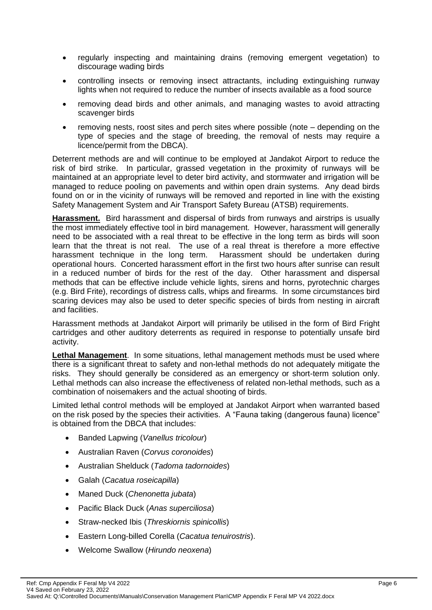- regularly inspecting and maintaining drains (removing emergent vegetation) to discourage wading birds
- controlling insects or removing insect attractants, including extinguishing runway lights when not required to reduce the number of insects available as a food source
- removing dead birds and other animals, and managing wastes to avoid attracting scavenger birds
- removing nests, roost sites and perch sites where possible (note depending on the type of species and the stage of breeding, the removal of nests may require a licence/permit from the DBCA).

Deterrent methods are and will continue to be employed at Jandakot Airport to reduce the risk of bird strike. In particular, grassed vegetation in the proximity of runways will be maintained at an appropriate level to deter bird activity, and stormwater and irrigation will be managed to reduce pooling on pavements and within open drain systems. Any dead birds found on or in the vicinity of runways will be removed and reported in line with the existing Safety Management System and Air Transport Safety Bureau (ATSB) requirements.

**Harassment.** Bird harassment and dispersal of birds from runways and airstrips is usually the most immediately effective tool in bird management. However, harassment will generally need to be associated with a real threat to be effective in the long term as birds will soon learn that the threat is not real. The use of a real threat is therefore a more effective harassment technique in the long term. Harassment should be undertaken during operational hours. Concerted harassment effort in the first two hours after sunrise can result in a reduced number of birds for the rest of the day. Other harassment and dispersal methods that can be effective include vehicle lights, sirens and horns, pyrotechnic charges (e.g. Bird Frite), recordings of distress calls, whips and firearms. In some circumstances bird scaring devices may also be used to deter specific species of birds from nesting in aircraft and facilities.

Harassment methods at Jandakot Airport will primarily be utilised in the form of Bird Fright cartridges and other auditory deterrents as required in response to potentially unsafe bird activity.

**Lethal Management**. In some situations, lethal management methods must be used where there is a significant threat to safety and non-lethal methods do not adequately mitigate the risks. They should generally be considered as an emergency or short-term solution only. Lethal methods can also increase the effectiveness of related non-lethal methods, such as a combination of noisemakers and the actual shooting of birds.

Limited lethal control methods will be employed at Jandakot Airport when warranted based on the risk posed by the species their activities. A "Fauna taking (dangerous fauna) licence" is obtained from the DBCA that includes:

- Banded Lapwing (*Vanellus tricolour*)
- Australian Raven (*Corvus coronoides*)
- Australian Shelduck (*Tadoma tadornoides*)
- Galah (*Cacatua roseicapilla*)
- Maned Duck (*Chenonetta jubata*)
- Pacific Black Duck (*Anas superciliosa*)
- Straw-necked Ibis (*Threskiornis spinicollis*)
- Eastern Long-billed Corella (*Cacatua tenuirostris*).
- Welcome Swallow (*Hirundo neoxena*)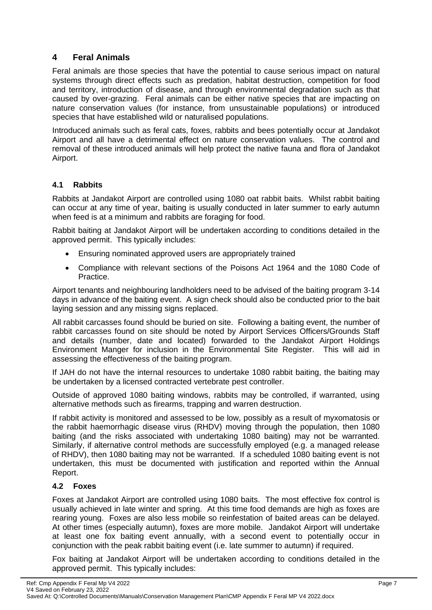## <span id="page-6-0"></span>**4 Feral Animals**

Feral animals are those species that have the potential to cause serious impact on natural systems through direct effects such as predation, habitat destruction, competition for food and territory, introduction of disease, and through environmental degradation such as that caused by over-grazing. Feral animals can be either native species that are impacting on nature conservation values (for instance, from unsustainable populations) or introduced species that have established wild or naturalised populations.

Introduced animals such as feral cats, foxes, rabbits and bees potentially occur at Jandakot Airport and all have a detrimental effect on nature conservation values. The control and removal of these introduced animals will help protect the native fauna and flora of Jandakot Airport.

## <span id="page-6-1"></span>**4.1 Rabbits**

Rabbits at Jandakot Airport are controlled using 1080 oat rabbit baits. Whilst rabbit baiting can occur at any time of year, baiting is usually conducted in later summer to early autumn when feed is at a minimum and rabbits are foraging for food.

Rabbit baiting at Jandakot Airport will be undertaken according to conditions detailed in the approved permit. This typically includes:

- Ensuring nominated approved users are appropriately trained
- Compliance with relevant sections of the Poisons Act 1964 and the 1080 Code of Practice.

Airport tenants and neighbouring landholders need to be advised of the baiting program 3-14 days in advance of the baiting event. A sign check should also be conducted prior to the bait laying session and any missing signs replaced.

All rabbit carcasses found should be buried on site. Following a baiting event, the number of rabbit carcasses found on site should be noted by Airport Services Officers/Grounds Staff and details (number, date and located) forwarded to the Jandakot Airport Holdings Environment Manger for inclusion in the Environmental Site Register. This will aid in assessing the effectiveness of the baiting program.

If JAH do not have the internal resources to undertake 1080 rabbit baiting, the baiting may be undertaken by a licensed contracted vertebrate pest controller.

Outside of approved 1080 baiting windows, rabbits may be controlled, if warranted, using alternative methods such as firearms, trapping and warren destruction.

If rabbit activity is monitored and assessed to be low, possibly as a result of myxomatosis or the rabbit haemorrhagic disease virus (RHDV) moving through the population, then 1080 baiting (and the risks associated with undertaking 1080 baiting) may not be warranted. Similarly, if alternative control methods are successfully employed (e.g. a managed release of RHDV), then 1080 baiting may not be warranted. If a scheduled 1080 baiting event is not undertaken, this must be documented with justification and reported within the Annual Report.

#### <span id="page-6-2"></span>**4.2 Foxes**

Foxes at Jandakot Airport are controlled using 1080 baits. The most effective fox control is usually achieved in late winter and spring. At this time food demands are high as foxes are rearing young. Foxes are also less mobile so reinfestation of baited areas can be delayed. At other times (especially autumn), foxes are more mobile. Jandakot Airport will undertake at least one fox baiting event annually, with a second event to potentially occur in conjunction with the peak rabbit baiting event (i.e. late summer to autumn) if required.

Fox baiting at Jandakot Airport will be undertaken according to conditions detailed in the approved permit. This typically includes: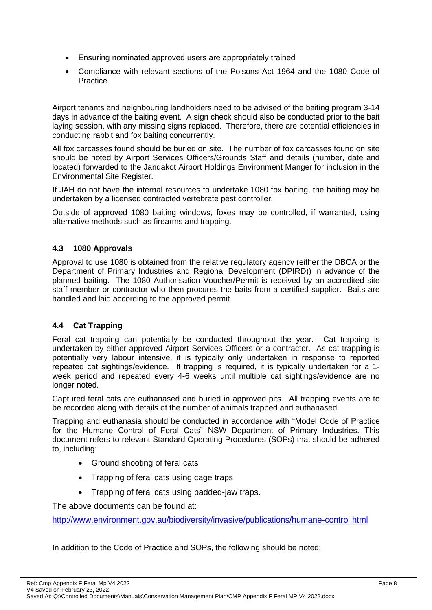- Ensuring nominated approved users are appropriately trained
- Compliance with relevant sections of the Poisons Act 1964 and the 1080 Code of Practice.

Airport tenants and neighbouring landholders need to be advised of the baiting program 3-14 days in advance of the baiting event. A sign check should also be conducted prior to the bait laying session, with any missing signs replaced. Therefore, there are potential efficiencies in conducting rabbit and fox baiting concurrently.

All fox carcasses found should be buried on site. The number of fox carcasses found on site should be noted by Airport Services Officers/Grounds Staff and details (number, date and located) forwarded to the Jandakot Airport Holdings Environment Manger for inclusion in the Environmental Site Register.

If JAH do not have the internal resources to undertake 1080 fox baiting, the baiting may be undertaken by a licensed contracted vertebrate pest controller.

Outside of approved 1080 baiting windows, foxes may be controlled, if warranted, using alternative methods such as firearms and trapping.

## <span id="page-7-0"></span>**4.3 1080 Approvals**

Approval to use 1080 is obtained from the relative regulatory agency (either the DBCA or the Department of Primary Industries and Regional Development (DPIRD)) in advance of the planned baiting. The 1080 Authorisation Voucher/Permit is received by an accredited site staff member or contractor who then procures the baits from a certified supplier. Baits are handled and laid according to the approved permit.

## <span id="page-7-1"></span>**4.4 Cat Trapping**

Feral cat trapping can potentially be conducted throughout the year. Cat trapping is undertaken by either approved Airport Services Officers or a contractor. As cat trapping is potentially very labour intensive, it is typically only undertaken in response to reported repeated cat sightings/evidence. If trapping is required, it is typically undertaken for a 1 week period and repeated every 4-6 weeks until multiple cat sightings/evidence are no longer noted.

Captured feral cats are euthanased and buried in approved pits. All trapping events are to be recorded along with details of the number of animals trapped and euthanased.

Trapping and euthanasia should be conducted in accordance with "Model Code of Practice for the Humane Control of Feral Cats" NSW Department of Primary Industries. This document refers to relevant Standard Operating Procedures (SOPs) that should be adhered to, including:

- Ground shooting of feral cats
- Trapping of feral cats using cage traps
- Trapping of feral cats using padded-jaw traps.

The above documents can be found at:

<http://www.environment.gov.au/biodiversity/invasive/publications/humane-control.html>

In addition to the Code of Practice and SOPs, the following should be noted: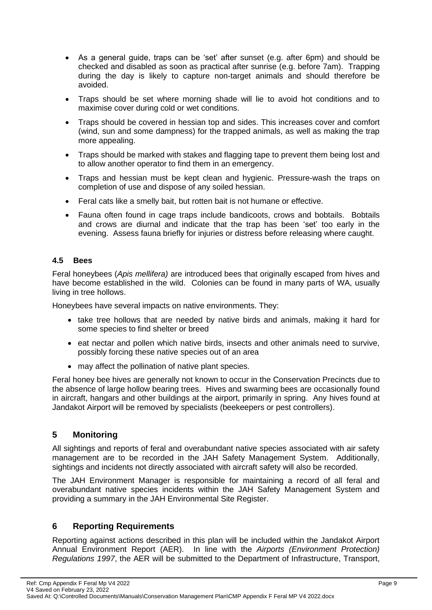- As a general guide, traps can be 'set' after sunset (e.g. after 6pm) and should be checked and disabled as soon as practical after sunrise (e.g. before 7am). Trapping during the day is likely to capture non-target animals and should therefore be avoided.
- Traps should be set where morning shade will lie to avoid hot conditions and to maximise cover during cold or wet conditions.
- Traps should be covered in hessian top and sides. This increases cover and comfort (wind, sun and some dampness) for the trapped animals, as well as making the trap more appealing.
- Traps should be marked with stakes and flagging tape to prevent them being lost and to allow another operator to find them in an emergency.
- Traps and hessian must be kept clean and hygienic. Pressure-wash the traps on completion of use and dispose of any soiled hessian.
- Feral cats like a smelly bait, but rotten bait is not humane or effective.
- Fauna often found in cage traps include bandicoots, crows and bobtails. Bobtails and crows are diurnal and indicate that the trap has been 'set' too early in the evening. Assess fauna briefly for injuries or distress before releasing where caught.

## <span id="page-8-0"></span>**4.5 Bees**

Feral honeybees (*Apis mellifera)* are introduced bees that originally escaped from hives and have become established in the wild. Colonies can be found in many parts of WA, usually living in tree hollows.

Honeybees have several impacts on native environments. They:

- take tree hollows that are needed by native birds and animals, making it hard for some species to find shelter or breed
- eat nectar and pollen which native birds, insects and other animals need to survive, possibly forcing these native species out of an area
- may affect the pollination of native plant species.

Feral honey bee hives are generally not known to occur in the Conservation Precincts due to the absence of large hollow bearing trees. Hives and swarming bees are occasionally found in aircraft, hangars and other buildings at the airport, primarily in spring. Any hives found at Jandakot Airport will be removed by specialists (beekeepers or pest controllers).

## <span id="page-8-1"></span>**5 Monitoring**

All sightings and reports of feral and overabundant native species associated with air safety management are to be recorded in the JAH Safety Management System. Additionally, sightings and incidents not directly associated with aircraft safety will also be recorded.

The JAH Environment Manager is responsible for maintaining a record of all feral and overabundant native species incidents within the JAH Safety Management System and providing a summary in the JAH Environmental Site Register.

## <span id="page-8-2"></span>**6 Reporting Requirements**

Reporting against actions described in this plan will be included within the Jandakot Airport Annual Environment Report (AER). In line with the *Airports (Environment Protection) Regulations 1997*, the AER will be submitted to the Department of Infrastructure, Transport,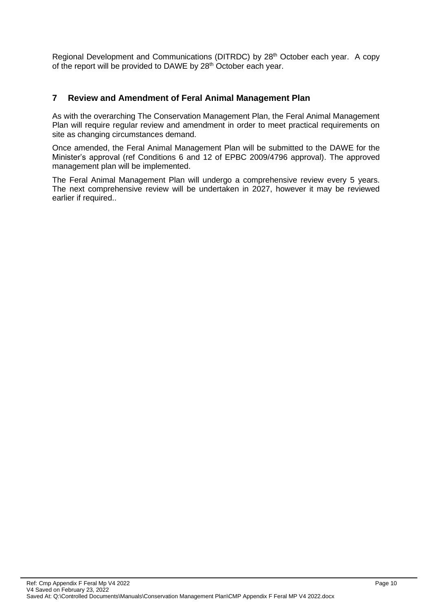Regional Development and Communications (DITRDC) by 28<sup>th</sup> October each year. A copy of the report will be provided to DAWE by 28<sup>th</sup> October each year.

## <span id="page-9-0"></span>**7 Review and Amendment of Feral Animal Management Plan**

As with the overarching The Conservation Management Plan, the Feral Animal Management Plan will require regular review and amendment in order to meet practical requirements on site as changing circumstances demand.

Once amended, the Feral Animal Management Plan will be submitted to the DAWE for the Minister's approval (ref Conditions 6 and 12 of EPBC 2009/4796 approval). The approved management plan will be implemented.

The Feral Animal Management Plan will undergo a comprehensive review every 5 years. The next comprehensive review will be undertaken in 2027, however it may be reviewed earlier if required..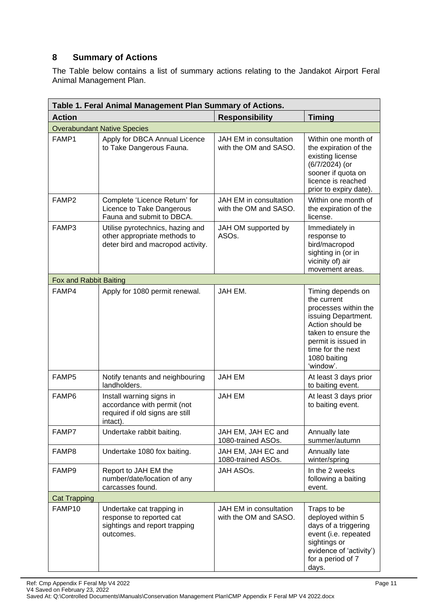## <span id="page-10-0"></span>**8 Summary of Actions**

The Table below contains a list of summary actions relating to the Jandakot Airport Feral Animal Management Plan.

| Table 1. Feral Animal Management Plan Summary of Actions. |                                                                                                        |                                                 |                                                                                                                                                                                                     |  |
|-----------------------------------------------------------|--------------------------------------------------------------------------------------------------------|-------------------------------------------------|-----------------------------------------------------------------------------------------------------------------------------------------------------------------------------------------------------|--|
| <b>Action</b>                                             |                                                                                                        | <b>Responsibility</b>                           | <b>Timing</b>                                                                                                                                                                                       |  |
|                                                           | <b>Overabundant Native Species</b>                                                                     |                                                 |                                                                                                                                                                                                     |  |
| FAMP1                                                     | Apply for DBCA Annual Licence<br>to Take Dangerous Fauna.                                              | JAH EM in consultation<br>with the OM and SASO. | Within one month of<br>the expiration of the<br>existing license<br>(6/7/2024) (or<br>sooner if quota on<br>licence is reached<br>prior to expiry date).                                            |  |
| FAMP <sub>2</sub>                                         | Complete 'Licence Return' for<br>Licence to Take Dangerous<br>Fauna and submit to DBCA.                | JAH EM in consultation<br>with the OM and SASO. | Within one month of<br>the expiration of the<br>license.                                                                                                                                            |  |
| FAMP3                                                     | Utilise pyrotechnics, hazing and<br>other appropriate methods to<br>deter bird and macropod activity.  | JAH OM supported by<br>ASO <sub>s</sub> .       | Immediately in<br>response to<br>bird/macropod<br>sighting in (or in<br>vicinity of) air<br>movement areas.                                                                                         |  |
| Fox and Rabbit Baiting                                    |                                                                                                        |                                                 |                                                                                                                                                                                                     |  |
| FAMP4                                                     | Apply for 1080 permit renewal.                                                                         | JAH EM.                                         | Timing depends on<br>the current<br>processes within the<br>issuing Department.<br>Action should be<br>taken to ensure the<br>permit is issued in<br>time for the next<br>1080 baiting<br>'window'. |  |
| FAMP5                                                     | Notify tenants and neighbouring<br>landholders.                                                        | <b>JAH EM</b>                                   | At least 3 days prior<br>to baiting event.                                                                                                                                                          |  |
| FAMP6                                                     | Install warning signs in<br>accordance with permit (not<br>required if old signs are still<br>intact). | <b>JAH EM</b>                                   | At least 3 days prior<br>to baiting event.                                                                                                                                                          |  |
| FAMP7                                                     | Undertake rabbit baiting.                                                                              | JAH EM, JAH EC and<br>1080-trained ASOs.        | Annually late<br>summer/autumn                                                                                                                                                                      |  |
| FAMP8                                                     | Undertake 1080 fox baiting.                                                                            | JAH EM, JAH EC and<br>1080-trained ASOs.        | Annually late<br>winter/spring                                                                                                                                                                      |  |
| FAMP9                                                     | Report to JAH EM the<br>number/date/location of any<br>carcasses found.                                | JAH ASOs.                                       | In the 2 weeks<br>following a baiting<br>event.                                                                                                                                                     |  |
| <b>Cat Trapping</b>                                       |                                                                                                        |                                                 |                                                                                                                                                                                                     |  |
| FAMP10                                                    | Undertake cat trapping in<br>response to reported cat<br>sightings and report trapping<br>outcomes.    | JAH EM in consultation<br>with the OM and SASO. | Traps to be<br>deployed within 5<br>days of a triggering<br>event (i.e. repeated<br>sightings or<br>evidence of 'activity')<br>for a period of 7<br>days.                                           |  |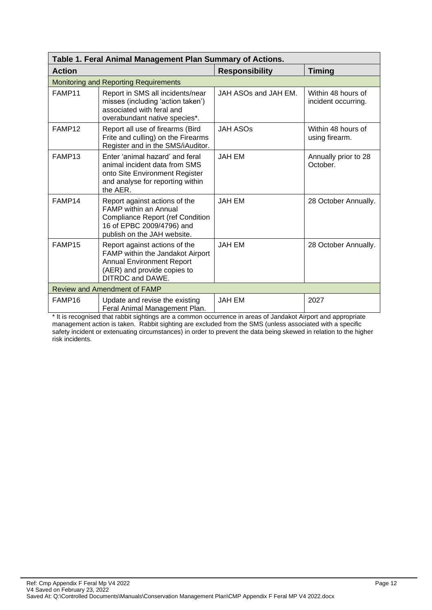| Table 1. Feral Animal Management Plan Summary of Actions. |                                                                                                                                                                      |                       |                                           |  |
|-----------------------------------------------------------|----------------------------------------------------------------------------------------------------------------------------------------------------------------------|-----------------------|-------------------------------------------|--|
| <b>Action</b>                                             |                                                                                                                                                                      | <b>Responsibility</b> | <b>Timing</b>                             |  |
|                                                           | <b>Monitoring and Reporting Requirements</b>                                                                                                                         |                       |                                           |  |
| FAMP11                                                    | Report in SMS all incidents/near<br>misses (including 'action taken')<br>associated with feral and<br>overabundant native species*.                                  | JAH ASOs and JAH EM.  | Within 48 hours of<br>incident occurring. |  |
| FAMP12                                                    | Report all use of firearms (Bird<br>Frite and culling) on the Firearms<br>Register and in the SMS/iAuditor.                                                          | <b>JAH ASOS</b>       | Within 48 hours of<br>using firearm.      |  |
| FAMP13                                                    | Enter 'animal hazard' and feral<br>animal incident data from SMS<br>onto Site Environment Register<br>and analyse for reporting within<br>the AER.                   | <b>JAH EM</b>         | Annually prior to 28<br>October.          |  |
| FAMP14                                                    | Report against actions of the<br><b>FAMP</b> within an Annual<br><b>Compliance Report (ref Condition</b><br>16 of EPBC 2009/4796) and<br>publish on the JAH website. | <b>JAH EM</b>         | 28 October Annually.                      |  |
| FAMP15                                                    | Report against actions of the<br>FAMP within the Jandakot Airport<br><b>Annual Environment Report</b><br>(AER) and provide copies to<br><b>DITRDC and DAWE.</b>      | <b>JAH EM</b>         | 28 October Annually.                      |  |
| <b>Review and Amendment of FAMP</b>                       |                                                                                                                                                                      |                       |                                           |  |
| FAMP16                                                    | Update and revise the existing<br>Feral Animal Management Plan.                                                                                                      | <b>JAH EM</b>         | 2027                                      |  |

\* It is recognised that rabbit sightings are a common occurrence in areas of Jandakot Airport and appropriate management action is taken. Rabbit sighting are excluded from the SMS (unless associated with a specific safety incident or extenuating circumstances) in order to prevent the data being skewed in relation to the higher risk incidents.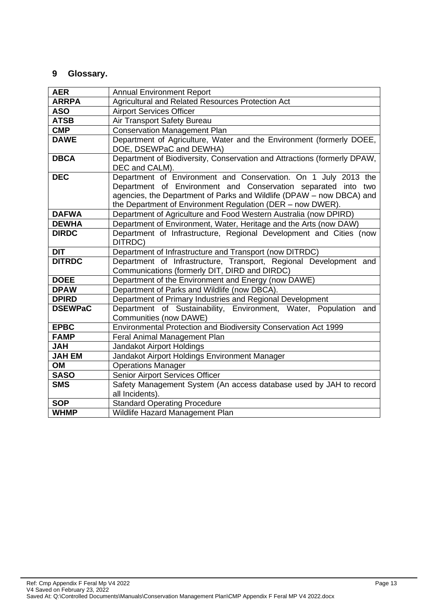## <span id="page-12-0"></span>**9 Glossary.**

| <b>AER</b>     | <b>Annual Environment Report</b>                                                                                                                                                                                                                                      |  |
|----------------|-----------------------------------------------------------------------------------------------------------------------------------------------------------------------------------------------------------------------------------------------------------------------|--|
| <b>ARRPA</b>   | Agricultural and Related Resources Protection Act                                                                                                                                                                                                                     |  |
| <b>ASO</b>     | <b>Airport Services Officer</b>                                                                                                                                                                                                                                       |  |
| <b>ATSB</b>    | Air Transport Safety Bureau                                                                                                                                                                                                                                           |  |
| <b>CMP</b>     | <b>Conservation Management Plan</b>                                                                                                                                                                                                                                   |  |
| <b>DAWE</b>    | Department of Agriculture, Water and the Environment (formerly DOEE,<br>DOE, DSEWPaC and DEWHA)                                                                                                                                                                       |  |
| <b>DBCA</b>    | Department of Biodiversity, Conservation and Attractions (formerly DPAW,<br>DEC and CALM).                                                                                                                                                                            |  |
| <b>DEC</b>     | Department of Environment and Conservation. On 1 July 2013 the<br>Department of Environment and Conservation separated into two<br>agencies, the Department of Parks and Wildlife (DPAW - now DBCA) and<br>the Department of Environment Regulation (DER - now DWER). |  |
| <b>DAFWA</b>   | Department of Agriculture and Food Western Australia (now DPIRD)                                                                                                                                                                                                      |  |
| <b>DEWHA</b>   | Department of Environment, Water, Heritage and the Arts (now DAW)                                                                                                                                                                                                     |  |
| <b>DIRDC</b>   | Department of Infrastructure, Regional Development and Cities (now<br>DITRDC)                                                                                                                                                                                         |  |
| <b>DIT</b>     | Department of Infrastructure and Transport (now DITRDC)                                                                                                                                                                                                               |  |
| <b>DITRDC</b>  | Department of Infrastructure, Transport, Regional Development and<br>Communications (formerly DIT, DIRD and DIRDC)                                                                                                                                                    |  |
| <b>DOEE</b>    | Department of the Environment and Energy (now DAWE)                                                                                                                                                                                                                   |  |
| <b>DPAW</b>    | Department of Parks and Wildlife (now DBCA).                                                                                                                                                                                                                          |  |
| <b>DPIRD</b>   | Department of Primary Industries and Regional Development                                                                                                                                                                                                             |  |
| <b>DSEWPaC</b> | Department of Sustainability, Environment, Water, Population and<br>Communities (now DAWE)                                                                                                                                                                            |  |
| <b>EPBC</b>    | Environmental Protection and Biodiversity Conservation Act 1999                                                                                                                                                                                                       |  |
| <b>FAMP</b>    | Feral Animal Management Plan                                                                                                                                                                                                                                          |  |
| <b>HAL</b>     | Jandakot Airport Holdings                                                                                                                                                                                                                                             |  |
| <b>JAH EM</b>  | Jandakot Airport Holdings Environment Manager                                                                                                                                                                                                                         |  |
| OM             | <b>Operations Manager</b>                                                                                                                                                                                                                                             |  |
| <b>SASO</b>    | Senior Airport Services Officer                                                                                                                                                                                                                                       |  |
| <b>SMS</b>     | Safety Management System (An access database used by JAH to record<br>all Incidents).                                                                                                                                                                                 |  |
| <b>SOP</b>     | <b>Standard Operating Procedure</b>                                                                                                                                                                                                                                   |  |
| <b>WHMP</b>    | Wildlife Hazard Management Plan                                                                                                                                                                                                                                       |  |